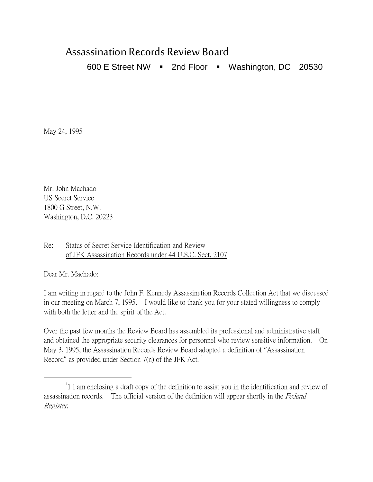## Assassination Records Review Board

600 E Street NW  $\blacksquare$  2nd Floor  $\blacksquare$  Washington, DC 20530

May 24, 1995

Mr. John Machado US Secret Service 1800 G Street, N.W. Washington, D.C. 20223

Re: Status of Secret Service Identification and Review of JFK Assassination Records under 44 U.S.C. Sect. 2107

Dear Mr. Machado:

I am writing in regard to the John F. Kennedy Assassination Records Collection Act that we discussed in our meeting on March 7, 1995. I would like to thank you for your stated willingness to comply with both the letter and the spirit of the Act.

Over the past few months the Review Board has assembled its professional and administrative staff and obtained the appropriate security clearances for personnel who review sensitive information. On May 3, 1995, the Assassination Records Review Board adopted a definition of "Assassination Record" as provided under Section  $7(n)$  of the JFK Act.<sup>[1](#page-0-0)</sup>

<span id="page-0-0"></span> $\overline{\phantom{a}}$ <sup>1</sup> I am enclosing a draft copy of the definition to assist you in the identification and review of assassination records. The official version of the definition will appear shortly in the Federal Register.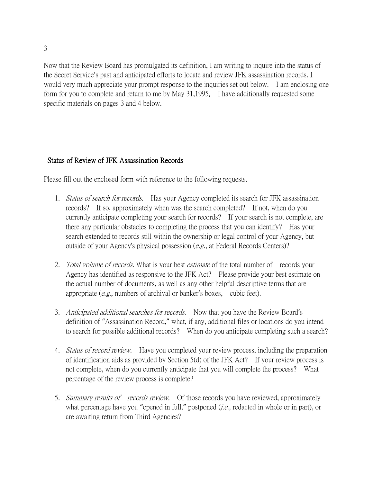3

Now that the Review Board has promulgated its definition, I am writing to inquire into the status of the Secret Service's past and anticipated efforts to locate and review JFK assassination records. I would very much appreciate your prompt response to the inquiries set out below. I am enclosing one form for you to complete and return to me by May 31,1995. I have additionally requested some specific materials on pages 3 and 4 below.

## Status of Review of JFK Assassination Records

Please fill out the enclosed form with reference to the following requests.

- 1. Status of search for records. Has your Agency completed its search for JFK assassination records? If so, approximately when was the search completed? If not, when do you currently anticipate completing your search for records? If your search is not complete, are there any particular obstacles to completing the process that you can identify? Has your search extended to records still within the ownership or legal control of your Agency, but outside of your Agency's physical possession  $(e.g.,$  at Federal Records Centers)?
- 2. *Total volume of records*. What is your best *estimate* of the total number of records your Agency has identified as responsive to the JFK Act? Please provide your best estimate on the actual number of documents, as well as any other helpful descriptive terms that are appropriate (e.g., numbers of archival or banker's boxes, cubic feet).
- 3. Anticipated additional searches for records. Now that you have the Review Board's definition of "Assassination Record," what, if any, additional files or locations do you intend to search for possible additional records? When do you anticipate completing such a search?
- 4. Status of record review. Have you completed your review process, including the preparation of identification aids as provided by Section 5(d) of the JFK Act? If your review process is not complete, when do you currently anticipate that you will complete the process? What percentage of the review process is complete?
- 5. Summary results of records review. Of those records you have reviewed, approximately what percentage have you "opened in full," postponed (*i.e.*, redacted in whole or in part), or are awaiting return from Third Agencies?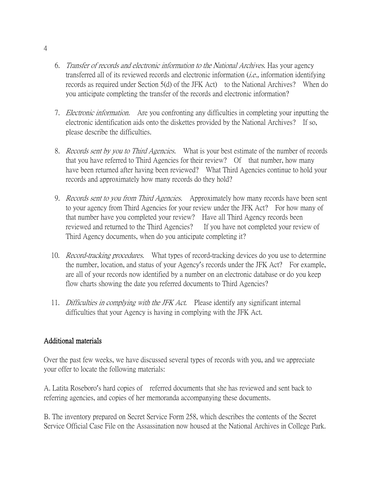- 6. Transfer of records and electronic information to the National Archives. Has your agency transferred all of its reviewed records and electronic information (i.e., information identifying records as required under Section 5(d) of the JFK Act) to the National Archives? When do you anticipate completing the transfer of the records and electronic information?
- 7. Electronic information. Are you confronting any difficulties in completing your inputting the electronic identification aids onto the diskettes provided by the National Archives? If so, please describe the difficulties.
- 8. Records sent by you to Third Agencies. What is your best estimate of the number of records that you have referred to Third Agencies for their review? Of that number, how many have been returned after having been reviewed? What Third Agencies continue to hold your records and approximately how many records do they hold?
- 9. *Records sent to you from Third Agencies*. Approximately how many records have been sent to your agency from Third Agencies for your review under the JFK Act? For how many of that number have you completed your review? Have all Third Agency records been reviewed and returned to the Third Agencies? If you have not completed your review of Third Agency documents, when do you anticipate completing it?
- 10. *Record-tracking procedures.* What types of record-tracking devices do you use to determine the number, location, and status of your Agency's records under the JFK Act? For example, are all of your records now identified by a number on an electronic database or do you keep flow charts showing the date you referred documents to Third Agencies?
- 11. Difficulties in complying with the JFK Act. Please identify any significant internal difficulties that your Agency is having in complying with the JFK Act.

## Additional materials

Over the past few weeks, we have discussed several types of records with you, and we appreciate your offer to locate the following materials:

A. Latita Roseboro's hard copies of referred documents that she has reviewed and sent back to referring agencies, and copies of her memoranda accompanying these documents.

B. The inventory prepared on Secret Service Form 258, which describes the contents of the Secret Service Official Case File on the Assassination now housed at the National Archives in College Park.

4